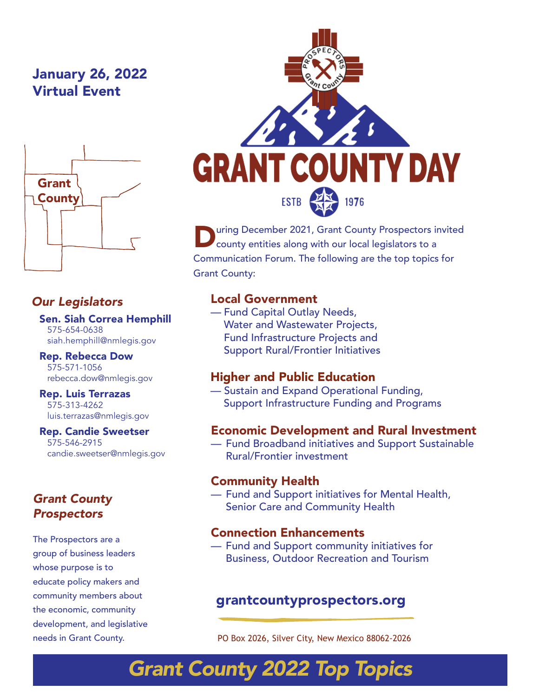## January 26, 2022 Virtual Event



## *Our Legislators*

Sen. Siah Correa Hemphill 575-654-0638 siah.hemphill@nmlegis.gov

Rep. Rebecca Dow 575-571-1056 rebecca.dow@nmlegis.gov

#### Rep. Luis Terrazas 575-313-4262 luis.terrazas@nmlegis.gov

Rep. Candie Sweetser 575-546-2915 candie.sweetser@nmlegis.gov

#### *Grant County Prospectors*

The Prospectors are a group of business leaders whose purpose is to educate policy makers and community members about the economic, community development, and legislative needs in Grant County.



**During December 2021, Grant County Prospectors invited county entities along with our local legislators to a** Communication Forum. The following are the top topics for Grant County:

## Local Government

— Fund Capital Outlay Needs, Water and Wastewater Projects, Fund Infrastructure Projects and Support Rural/Frontier Initiatives

#### Higher and Public Education

— Sustain and Expand Operational Funding, Support Infrastructure Funding and Programs

#### Economic Development and Rural Investment

— Fund Broadband initiatives and Support Sustainable Rural/Frontier investment

#### Community Health

— Fund and Support initiatives for Mental Health, Senior Care and Community Health

#### Connection Enhancements

— Fund and Support community initiatives for Business, Outdoor Recreation and Tourism

## grantcountyprospectors.org

PO Box 2026, Silver City, New Mexico 88062-2026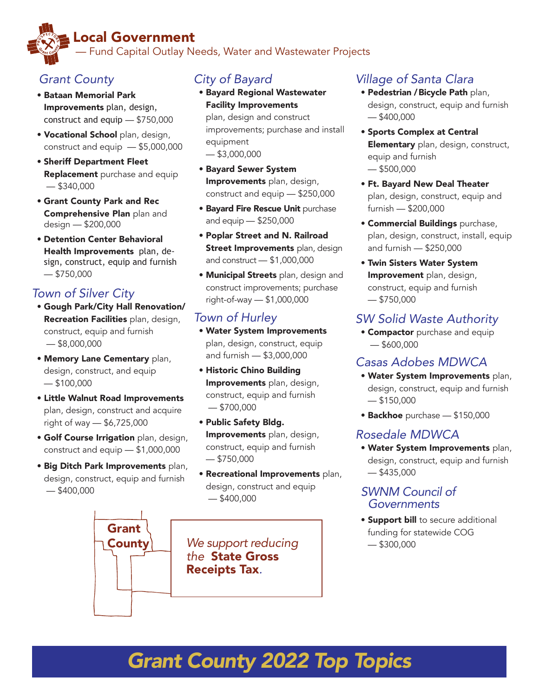## Local Government — Fund Capital Outlay Needs, Water and Wastewater Projects

## *Grant County*

- Bataan Memorial Park Improvements plan, design, construct and equip — \$750,000
- Vocational School plan, design, construct and equip — \$5,000,000
- Sheriff Department Fleet **Replacement** purchase and equip — \$340,000
- Grant County Park and Rec Comprehensive Plan plan and design — \$200,000
- Detention Center Behavioral Health Improvements plan, design, construct, equip and furnish — \$750,000

## *Town of Silver City*

- Gough Park/City Hall Renovation/ Recreation Facilities plan, design, construct, equip and furnish — \$8,000,000
- Memory Lane Cementary plan, design, construct, and equip  $-$ \$100,000
- Little Walnut Road Improvements plan, design, construct and acquire right of way — \$6,725,000
- **Golf Course Irrigation** plan, design, construct and equip — \$1,000,000
- Big Ditch Park Improvements plan, design, construct, equip and furnish  $-$ \$400,000

Grant **County** 

## *City of Bayard*

• Bayard Regional Wastewater Facility Improvements plan, design and construct

improvements; purchase and install equipment  $-$ \$3,000,000

- Bayard Sewer System Improvements plan, design, construct and equip — \$250,000
- **Bayard Fire Rescue Unit purchase** and equip — \$250,000
- Poplar Street and N. Railroad **Street Improvements** plan, design and construct — \$1,000,000
- **Municipal Streets** plan, design and construct improvements; purchase right-of-way — \$1,000,000

## *Town of Hurley*

- Water System Improvements plan, design, construct, equip and furnish — \$3,000,000
- Historic Chino Building Improvements plan, design, construct, equip and furnish — \$700,000
- Public Safety Bldg. Improvements plan, design, construct, equip and furnish — \$750,000
- Recreational Improvements plan, design, construct and equip  $-$ \$400,000

*We support reducing the* State Gross Receipts Tax*.*

## *Village of Santa Clara*

- Pedestrian / Bicycle Path plan, design, construct, equip and furnish — \$400,000
- Sports Complex at Central Elementary plan, design, construct, equip and furnish — \$500,000
- Ft. Bayard New Deal Theater plan, design, construct, equip and furnish — \$200,000
- Commercial Buildings purchase, plan, design, construct, install, equip and furnish — \$250,000
- Twin Sisters Water System Improvement plan, design, construct, equip and furnish — \$750,000

## *SW Solid Waste Authority*

**• Compactor** purchase and equip — \$600,000

## *Casas Adobes MDWCA*

- Water System Improvements plan, design, construct, equip and furnish  $-$  \$150,000
- Backhoe purchase \$150,000

## *Rosedale MDWCA*

• Water System Improvements plan, design, construct, equip and furnish  $-$ \$435,000

#### *SWNM Council of Governments*

**• Support bill** to secure additional funding for statewide COG — \$300,000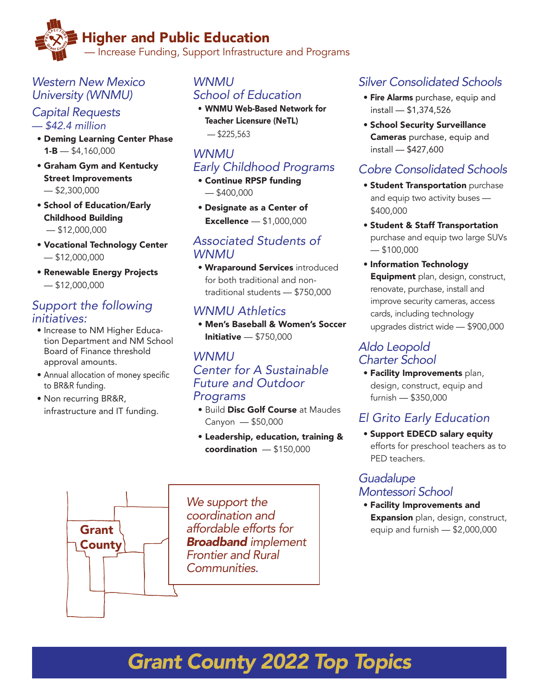## Higher and Public Education

— Increase Funding, Support Infrastructure and Programs

## *Western New Mexico University (WNMU)*

#### *Capital Requests — \$42.4 million*

- Deming Learning Center Phase  $1 - B - $4,160,000$
- Graham Gym and Kentucky Street Improvements  $-$ \$2,300,000
- School of Education/Early Childhood Building  $-$ \$12,000,000
- Vocational Technology Center  $-$ \$12,000,000
- Renewable Energy Projects  $-$ \$12,000,000

### *Support the following initiatives:*

- Increase to NM Higher Education Department and NM School Board of Finance threshold approval amounts.
- Annual allocation of money specific to BR&R funding.
- Non recurring BR&R, infrastructure and IT funding.

Grant **County** 

## *WNMU School of Education*

• WNMU Web-Based Network for Teacher Licensure (NeTL)  $-$ \$225,563

## *WNMU Early Childhood Programs*

- Continue RPSP funding — \$400,000
- Designate as a Center of Excellence — \$1,000,000

#### *Associated Students of WNMU*

• Wraparound Services introduced for both traditional and nontraditional students — \$750,000

## *WNMU Athletics*

• Men's Baseball & Women's Soccer Initiative — \$750,000

#### *WNMU Center for A Sustainable Future and Outdoor Programs*

- Build Disc Golf Course at Maudes Canyon — \$50,000
- Leadership, education, training & coordination — \$150,000

*We support the coordination and affordable efforts for Broadband implement Frontier and Rural Communities.*

## *Silver Consolidated Schools*

- Fire Alarms purchase, equip and install — \$1,374,526
- School Security Surveillance Cameras purchase, equip and install — \$427,600

## *Cobre Consolidated Schools*

- Student Transportation purchase and equip two activity buses — \$400,000
- Student & Staff Transportation purchase and equip two large SUVs  $-$ \$100,000
- Information Technology Equipment plan, design, construct, renovate, purchase, install and improve security cameras, access cards, including technology upgrades district wide — \$900,000

## *Aldo Leopold Charter School*

• Facility Improvements plan, design, construct, equip and furnish — \$350,000

## *El Grito Early Education*

• Support EDECD salary equity efforts for preschool teachers as to PED teachers.

#### *Guadalupe Montessori School*

• Facility Improvements and **Expansion** plan, design, construct, equip and furnish — \$2,000,000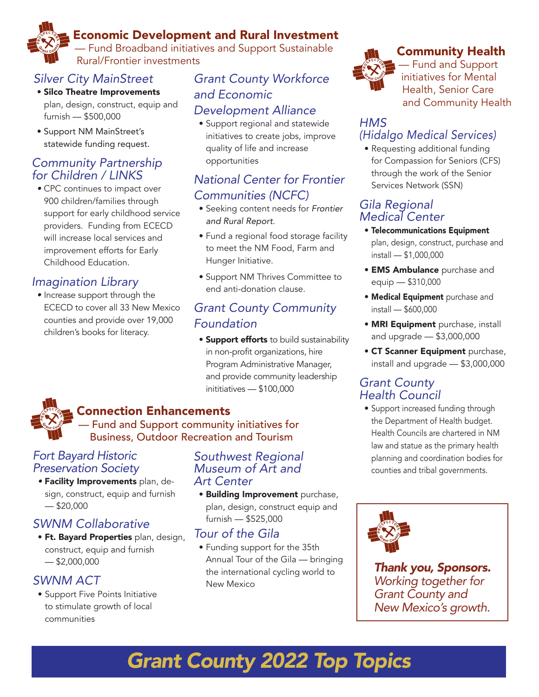## Economic Development and Rural Investment

— Fund Broadband initiatives and Support Sustainable Rural/Frontier investments

## *Silver City MainStreet*

- Silco Theatre Improvements
- plan, design, construct, equip and furnish — \$500,000
- Support NM MainStreet's statewide funding request.

## *Community Partnership for Children / LINKS*

*•* CPC continues to impact over 900 children/families through support for early childhood service providers. Funding from ECECD will increase local services and improvement efforts for Early Childhood Education.

## *Imagination Library*

*•* Increase support through the ECECD to cover all 33 New Mexico counties and provide over 19,000 children's books for literacy.

## *Grant County Workforce and Economic Development Alliance*

• Support regional and statewide initiatives to create jobs, improve quality of life and increase opportunities

## *National Center for Frontier Communities (NCFC)*

- Seeking content needs for *Frontier and Rural Report*.
- Fund a regional food storage facility to meet the NM Food, Farm and Hunger Initiative.
- Support NM Thrives Committee to end anti-donation clause.

## *Grant County Community Foundation*

**• Support efforts** to build sustainability in non-profit organizations, hire Program Administrative Manager, and provide community leadership inititiatives — \$100,000

## Connection Enhancements

— Fund and Support community initiatives for Business, Outdoor Recreation and Tourism

#### *Fort Bayard Historic Preservation Society*

*•* Facility Improvements plan, design, construct, equip and furnish  $-$ \$20,000

## *SWNM Collaborative*

**• Ft. Bayard Properties** plan, design, construct, equip and furnish  $-$ \$2,000,000

## *SWNM ACT*

• Support Five Points Initiative to stimulate growth of local communities

#### *Southwest Regional Museum of Art and Art Center*

• Building Improvement purchase, plan, design, construct equip and furnish — \$525,000

## *Tour of the Gila*

• Funding support for the 35th Annual Tour of the Gila — bringing the international cycling world to New Mexico



## Community Health

— Fund and Support initiatives for Mental Health, Senior Care and Community Health

#### *HMS (Hidalgo Medical Services)*

• Requesting additional funding for Compassion for Seniors (CFS) through the work of the Senior Services Network (SSN)

#### *Gila Regional Medical Center*

- Telecommunications Equipment plan, design, construct, purchase and install — \$1,000,000
- **EMS Ambulance** purchase and equip — \$310,000
- Medical Equipment purchase and install — \$600,000
- MRI Equipment purchase, install and upgrade — \$3,000,000
- CT Scanner Equipment purchase, install and upgrade — \$3,000,000

## *Grant County Health Council*

• Support increased funding through the Department of Health budget. Health Councils are chartered in NM law and statue as the primary health planning and coordination bodies for counties and tribal governments.



*Thank you, Sponsors. Working together for Grant County and New Mexico's growth.*